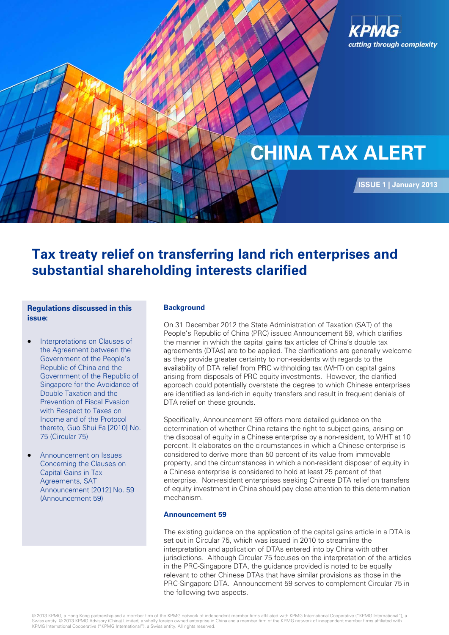

# **CHINA TAX ALERT**

**ISSUE 1 | January 2013**

## **Tax treaty relief on transferring land rich enterprises and substantial shareholding interests clarified**

#### **Regulations discussed in this issue:**

- Interpretations on Clauses of the Agreement between the Government of the People's Republic of China and the Government of the Republic of Singapore for the Avoidance of Double Taxation and the Prevention of Fiscal Evasion with Respect to Taxes on Income and of the Protocol thereto, Guo Shui Fa [2010] No. 75 (Circular 75)
- Announcement on Issues Concerning the Clauses on Capital Gains in Tax Agreements, SAT Announcement [2012] No. 59 (Announcement 59)

### **Background**

On 31 December 2012 the State Administration of Taxation (SAT) of the People's Republic of China (PRC) issued Announcement 59, which clarifies the manner in which the capital gains tax articles of China's double tax agreements (DTAs) are to be applied. The clarifications are generally welcome as they provide greater certainty to non-residents with regards to the availability of DTA relief from PRC withholding tax (WHT) on capital gains arising from disposals of PRC equity investments. However, the clarified approach could potentially overstate the degree to which Chinese enterprises are identified as land-rich in equity transfers and result in frequent denials of DTA relief on these grounds.

Specifically, Announcement 59 offers more detailed guidance on the determination of whether China retains the right to subject gains, arising on the disposal of equity in a Chinese enterprise by a non-resident, to WHT at 10 percent. It elaborates on the circumstances in which a Chinese enterprise is considered to derive more than 50 percent of its value from immovable property, and the circumstances in which a non-resident disposer of equity in a Chinese enterprise is considered to hold at least 25 percent of that enterprise. Non-resident enterprises seeking Chinese DTA relief on transfers of equity investment in China should pay close attention to this determination mechanism.

#### **Announcement 59**

The existing guidance on the application of the capital gains article in a DTA is set out in Circular 75, which was issued in 2010 to streamline the interpretation and application of DTAs entered into by China with other jurisdictions. Although Circular 75 focuses on the interpretation of the articles in the PRC-Singapore DTA, the guidance provided is noted to be equally relevant to other Chinese DTAs that have similar provisions as those in the PRC-Singapore DTA. Announcement 59 serves to complement Circular 75 in the following two aspects.

© 2013 KPMG, a Hong Kong partnership and a member firm of the KPMG network of independent member firms affiliated with KPMG International Cooperative ("KPMG International"), a<br>Swiss entity. © 2013 KPMG Advisory (China) Lim KPMG International Cooperative ("KPMG International"), a Swiss entity. All rights reserved.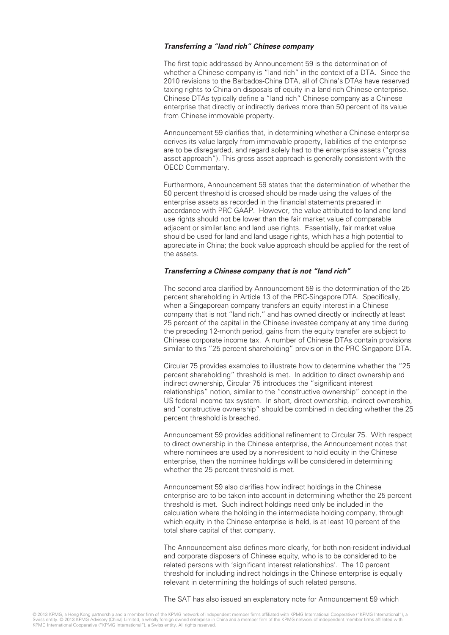#### **Transferring a "land rich" Chinese company**

The first topic addressed by Announcement 59 is the determination of whether a Chinese company is "land rich" in the context of a DTA. Since the 2010 revisions to the Barbados-China DTA, all of China's DTAs have reserved taxing rights to China on disposals of equity in a land-rich Chinese enterprise. Chinese DTAs typically define a "land rich" Chinese company as a Chinese enterprise that directly or indirectly derives more than 50 percent of its value from Chinese immovable property.

Announcement 59 clarifies that, in determining whether a Chinese enterprise derives its value largely from immovable property, liabilities of the enterprise are to be disregarded, and regard solely had to the enterprise assets ("gross asset approach"). This gross asset approach is generally consistent with the OECD Commentary.

Furthermore, Announcement 59 states that the determination of whether the 50 percent threshold is crossed should be made using the values of the enterprise assets as recorded in the financial statements prepared in accordance with PRC GAAP. However, the value attributed to land and land use rights should not be lower than the fair market value of comparable adjacent or similar land and land use rights. Essentially, fair market value should be used for land and land usage rights, which has a high potential to appreciate in China; the book value approach should be applied for the rest of the assets.

#### **Transferring a Chinese company that is not "land rich"**

The second area clarified by Announcement 59 is the determination of the 25 percent shareholding in Article 13 of the PRC-Singapore DTA. Specifically, when a Singaporean company transfers an equity interest in a Chinese company that is not "land rich," and has owned directly or indirectly at least 25 percent of the capital in the Chinese investee company at any time during the preceding 12-month period, gains from the equity transfer are subject to Chinese corporate income tax. A number of Chinese DTAs contain provisions similar to this "25 percent shareholding" provision in the PRC-Singapore DTA.

Circular 75 provides examples to illustrate how to determine whether the "25 percent shareholding" threshold is met. In addition to direct ownership and indirect ownership, Circular 75 introduces the "significant interest relationships" notion, similar to the "constructive ownership" concept in the US federal income tax system. In short, direct ownership, indirect ownership, and "constructive ownership" should be combined in deciding whether the 25 percent threshold is breached.

Announcement 59 provides additional refinement to Circular 75. With respect to direct ownership in the Chinese enterprise, the Announcement notes that where nominees are used by a non-resident to hold equity in the Chinese enterprise, then the nominee holdings will be considered in determining whether the 25 percent threshold is met.

Announcement 59 also clarifies how indirect holdings in the Chinese enterprise are to be taken into account in determining whether the 25 percent threshold is met. Such indirect holdings need only be included in the calculation where the holding in the intermediate holding company, through which equity in the Chinese enterprise is held, is at least 10 percent of the total share capital of that company.

The Announcement also defines more clearly, for both non-resident individual and corporate disposers of Chinese equity, who is to be considered to be related persons with 'significant interest relationships'. The 10 percent threshold for including indirect holdings in the Chinese enterprise is equally relevant in determining the holdings of such related persons.

The SAT has also issued an explanatory note for Announcement 59 which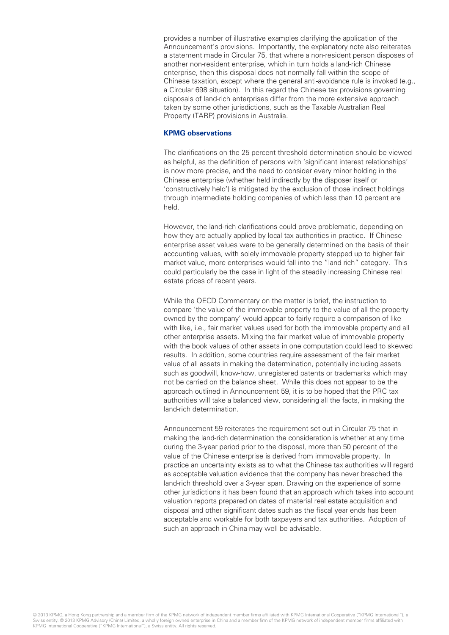provides a number of illustrative examples clarifying the application of the Announcement's provisions. Importantly, the explanatory note also reiterates a statement made in Circular 75, that where a non-resident person disposes of another non-resident enterprise, which in turn holds a land-rich Chinese enterprise, then this disposal does not normally fall within the scope of Chinese taxation, except where the general anti-avoidance rule is invoked (e.g., a Circular 698 situation). In this regard the Chinese tax provisions governing disposals of land-rich enterprises differ from the more extensive approach taken by some other jurisdictions, such as the Taxable Australian Real Property (TARP) provisions in Australia.

#### **KPMG observations**

The clarifications on the 25 percent threshold determination should be viewed as helpful, as the definition of persons with 'significant interest relationships' is now more precise, and the need to consider every minor holding in the Chinese enterprise (whether held indirectly by the disposer itself or 'constructively held') is mitigated by the exclusion of those indirect holdings through intermediate holding companies of which less than 10 percent are held.

However, the land-rich clarifications could prove problematic, depending on how they are actually applied by local tax authorities in practice. If Chinese enterprise asset values were to be generally determined on the basis of their accounting values, with solely immovable property stepped up to higher fair market value, more enterprises would fall into the "land rich" category. This could particularly be the case in light of the steadily increasing Chinese real estate prices of recent years.

While the OECD Commentary on the matter is brief, the instruction to compare 'the value of the immovable property to the value of all the property owned by the company' would appear to fairly require a comparison of like with like, i.e., fair market values used for both the immovable property and all other enterprise assets. Mixing the fair market value of immovable property with the book values of other assets in one computation could lead to skewed results. In addition, some countries require assessment of the fair market value of all assets in making the determination, potentially including assets such as goodwill, know-how, unregistered patents or trademarks which may not be carried on the balance sheet. While this does not appear to be the approach outlined in Announcement 59, it is to be hoped that the PRC tax authorities will take a balanced view, considering all the facts, in making the land-rich determination.

Announcement 59 reiterates the requirement set out in Circular 75 that in making the land-rich determination the consideration is whether at any time during the 3-year period prior to the disposal, more than 50 percent of the value of the Chinese enterprise is derived from immovable property. In practice an uncertainty exists as to what the Chinese tax authorities will regard as acceptable valuation evidence that the company has never breached the land-rich threshold over a 3-year span. Drawing on the experience of some other jurisdictions it has been found that an approach which takes into account valuation reports prepared on dates of material real estate acquisition and disposal and other significant dates such as the fiscal year ends has been acceptable and workable for both taxpayers and tax authorities. Adoption of such an approach in China may well be advisable.